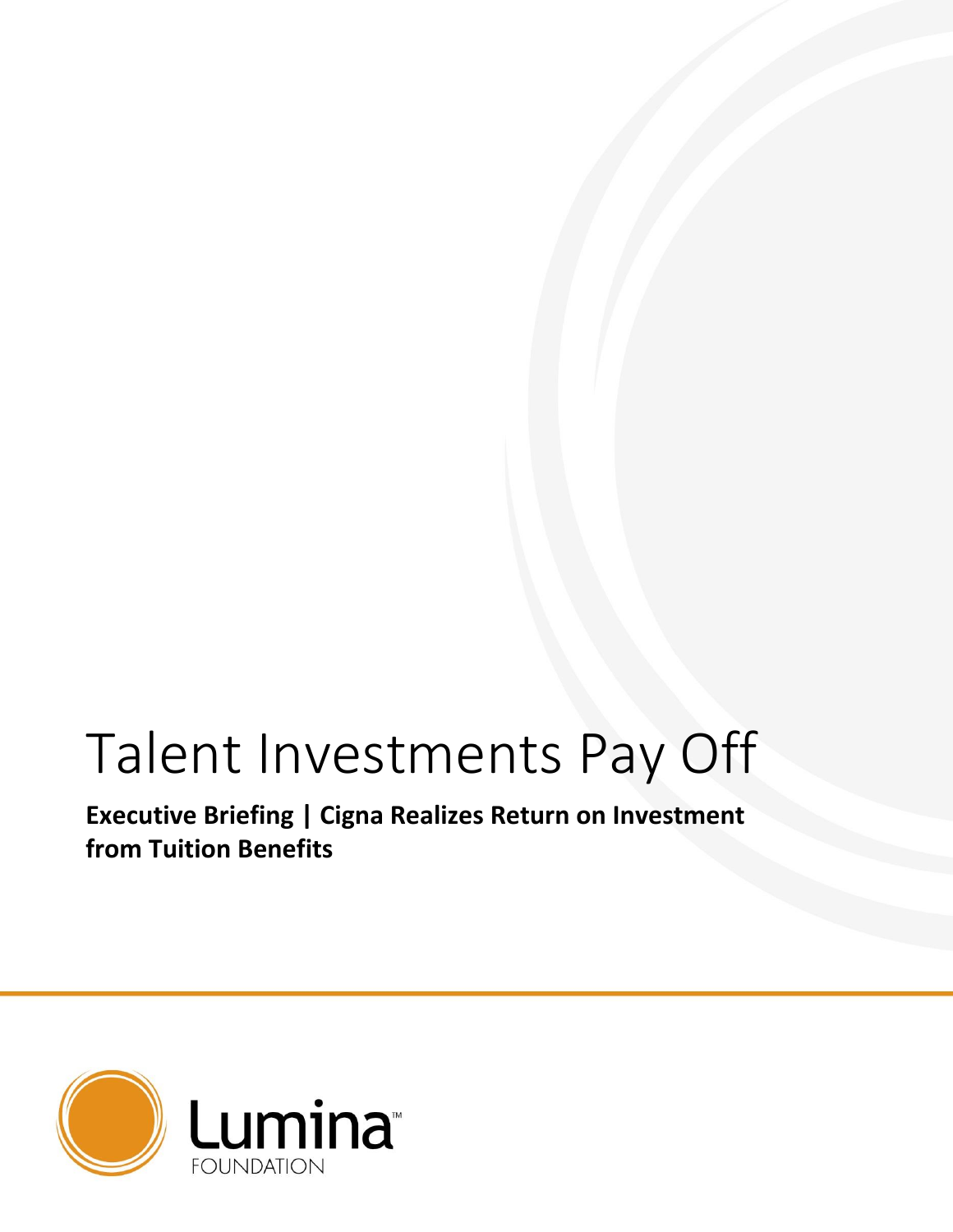# Talent Investments Pay Off

**Executive Briefing | Cigna Realizes Return on Investment from Tuition Benefits**

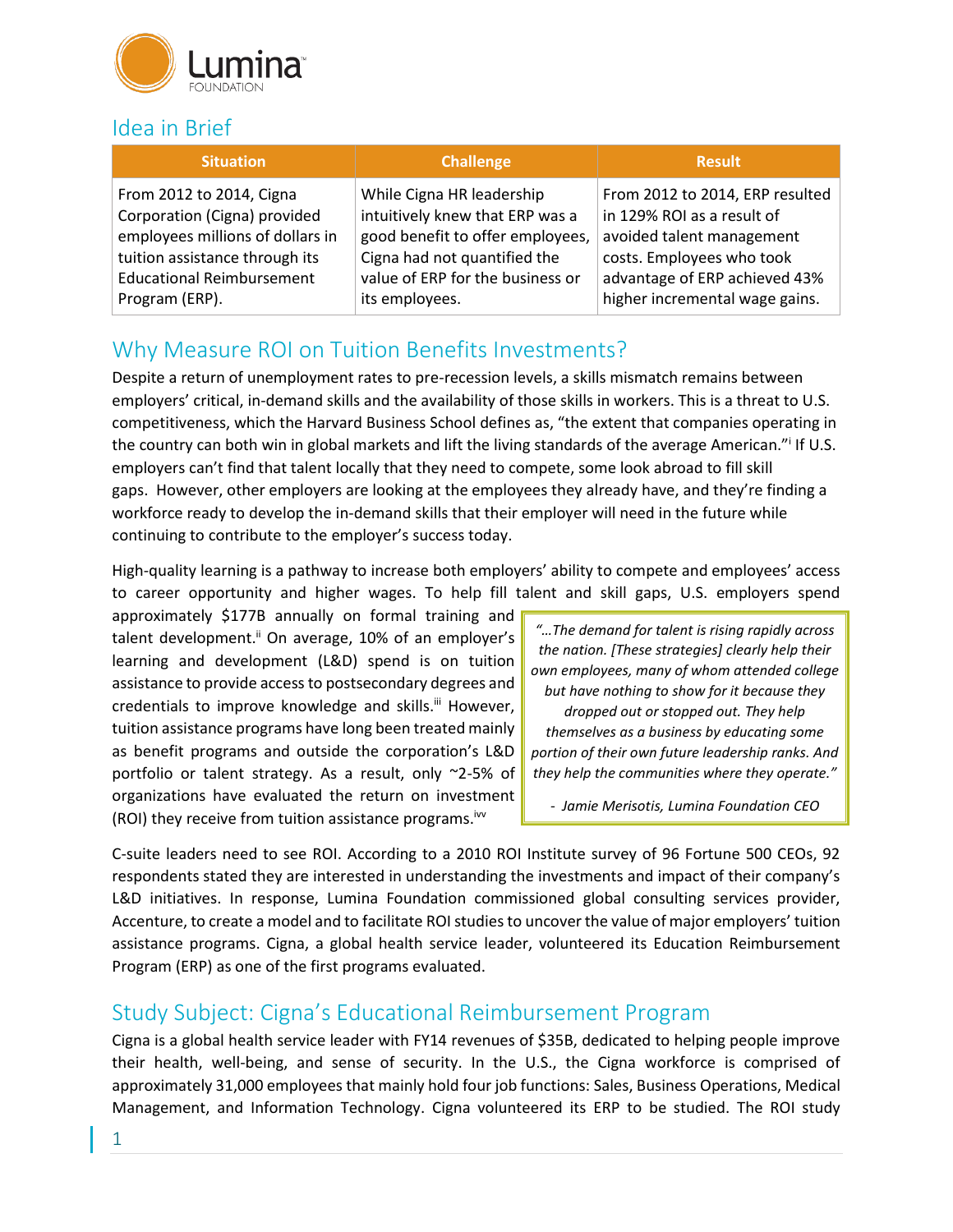

## Idea in Brief

| <b>Situation</b>                 | <b>Challenge</b>                 | <b>Result</b>                   |
|----------------------------------|----------------------------------|---------------------------------|
| From 2012 to 2014, Cigna         | While Cigna HR leadership        | From 2012 to 2014, ERP resulted |
| Corporation (Cigna) provided     | intuitively knew that ERP was a  | in 129% ROI as a result of      |
| employees millions of dollars in | good benefit to offer employees, | avoided talent management       |
| tuition assistance through its   | Cigna had not quantified the     | costs. Employees who took       |
| <b>Educational Reimbursement</b> | value of ERP for the business or | advantage of ERP achieved 43%   |
| Program (ERP).                   | its employees.                   | higher incremental wage gains.  |

# Why Measure ROI on Tuition Benefits Investments?

Despite a return of unemployment rates to pre-recession levels, a skills mismatch remains between employers' critical, in-demand skills and the availability of those skills in workers. This is a threat to U.S. competitiveness, which the Harvard Business School defines as, "the extent that companies operating in the country can both win in global markets and lift the living standards of the average American." If U.S. employers can't find that talent locally that they need to compete, some look abroad to fill skill gaps. However, other employers are looking at the employees they already have, and they're finding a workforce ready to develop the in-demand skills that their employer will need in the future while continuing to contribute to the employer's success today.

High-quality learning is a pathway to increase both employers' ability to compete and employees' access to career opportunity and higher wages. To help fill talent and skill gaps, U.S. employers spend

approximately \$177B annually on formal training and talent development.<sup>ii</sup> On average, 10% of an employer's learning and development (L&D) spend is on tuition assistance to provide access to postsecondary degrees and credentials to improve knowledge and skills.<sup>iii</sup> However, tuition assistance programs have long been treated mainly as benefit programs and outside the corporation's L&D portfolio or talent strategy. As a result, only ~2-5% of organizations have evaluated the return on investment (ROI) they receive from tuition assistance programs.<sup>iw</sup>

*"…The demand for talent is rising rapidly across the nation. [These strategies] clearly help their own employees, many of whom attended college but have nothing to show for it because they dropped out or stopped out. They help themselves as a business by educating some portion of their own future leadership ranks. And they help the communities where they operate."*

*- Jamie Merisotis, Lumina Foundation CEO*

C-suite leaders need to see ROI. According to a 2010 ROI Institute survey of 96 Fortune 500 CEOs, 92 respondents stated they are interested in understanding the investments and impact of their company's L&D initiatives. In response, Lumina Foundation commissioned global consulting services provider, Accenture, to create a model and to facilitate ROI studies to uncover the value of major employers' tuition assistance programs. Cigna, a global health service leader, volunteered its Education Reimbursement Program (ERP) as one of the first programs evaluated.

#### Study Subject: Cigna's Educational Reimbursement Program

Cigna is a global health service leader with FY14 revenues of \$35B, dedicated to helping people improve their health, well-being, and sense of security. In the U.S., the Cigna workforce is comprised of approximately 31,000 employees that mainly hold four job functions: Sales, Business Operations, Medical Management, and Information Technology. Cigna volunteered its ERP to be studied. The ROI study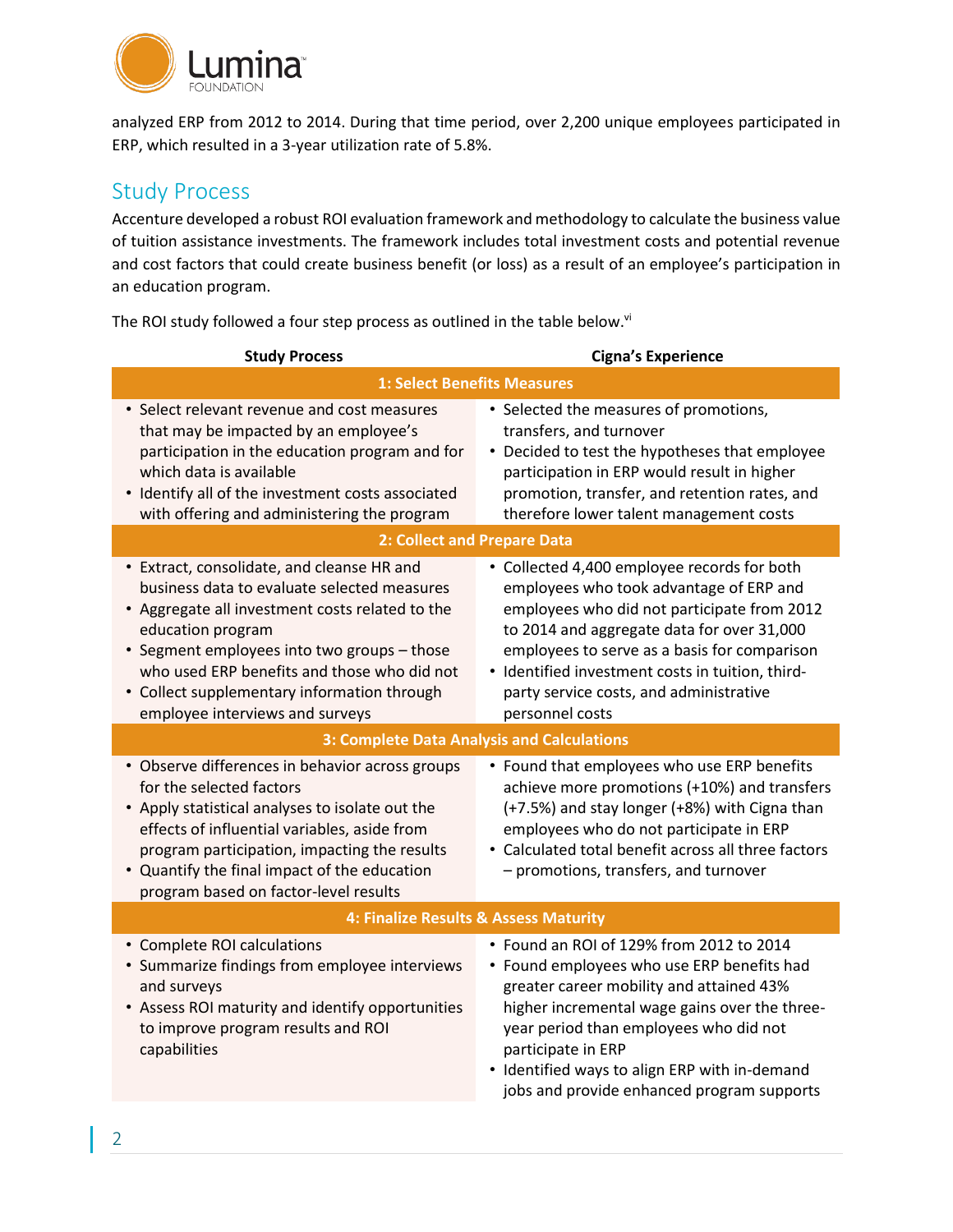

analyzed ERP from 2012 to 2014. During that time period, over 2,200 unique employees participated in ERP, which resulted in a 3-year utilization rate of 5.8%.

## Study Process

Accenture developed a robust ROI evaluation framework and methodology to calculate the business value of tuition assistance investments. The framework includes total investment costs and potential revenue and cost factors that could create business benefit (or loss) as a result of an employee's participation in an education program.

The ROI study followed a four step process as outlined in the table below.<sup>vi</sup>

| <b>Study Process</b>                                                                                                                                                                                                                                                                                                                              | <b>Cigna's Experience</b>                                                                                                                                                                                                                                                                                                                             |  |
|---------------------------------------------------------------------------------------------------------------------------------------------------------------------------------------------------------------------------------------------------------------------------------------------------------------------------------------------------|-------------------------------------------------------------------------------------------------------------------------------------------------------------------------------------------------------------------------------------------------------------------------------------------------------------------------------------------------------|--|
| <b>1: Select Benefits Measures</b>                                                                                                                                                                                                                                                                                                                |                                                                                                                                                                                                                                                                                                                                                       |  |
| • Select relevant revenue and cost measures<br>that may be impacted by an employee's<br>participation in the education program and for<br>which data is available<br>• Identify all of the investment costs associated<br>with offering and administering the program                                                                             | • Selected the measures of promotions,<br>transfers, and turnover<br>• Decided to test the hypotheses that employee<br>participation in ERP would result in higher<br>promotion, transfer, and retention rates, and<br>therefore lower talent management costs                                                                                        |  |
| 2: Collect and Prepare Data                                                                                                                                                                                                                                                                                                                       |                                                                                                                                                                                                                                                                                                                                                       |  |
| • Extract, consolidate, and cleanse HR and<br>business data to evaluate selected measures<br>• Aggregate all investment costs related to the<br>education program<br>• Segment employees into two groups - those<br>who used ERP benefits and those who did not<br>• Collect supplementary information through<br>employee interviews and surveys | • Collected 4,400 employee records for both<br>employees who took advantage of ERP and<br>employees who did not participate from 2012<br>to 2014 and aggregate data for over 31,000<br>employees to serve as a basis for comparison<br>• Identified investment costs in tuition, third-<br>party service costs, and administrative<br>personnel costs |  |
| 3: Complete Data Analysis and Calculations                                                                                                                                                                                                                                                                                                        |                                                                                                                                                                                                                                                                                                                                                       |  |
| • Observe differences in behavior across groups<br>for the selected factors<br>• Apply statistical analyses to isolate out the<br>effects of influential variables, aside from<br>program participation, impacting the results<br>• Quantify the final impact of the education<br>program based on factor-level results                           | • Found that employees who use ERP benefits<br>achieve more promotions (+10%) and transfers<br>(+7.5%) and stay longer (+8%) with Cigna than<br>employees who do not participate in ERP<br>• Calculated total benefit across all three factors<br>- promotions, transfers, and turnover                                                               |  |
| 4: Finalize Results & Assess Maturity                                                                                                                                                                                                                                                                                                             |                                                                                                                                                                                                                                                                                                                                                       |  |
| • Complete ROI calculations<br>• Summarize findings from employee interviews<br>and surveys<br>• Assess ROI maturity and identify opportunities<br>to improve program results and ROI<br>capabilities                                                                                                                                             | • Found an ROI of 129% from 2012 to 2014<br>• Found employees who use ERP benefits had<br>greater career mobility and attained 43%<br>higher incremental wage gains over the three-<br>year period than employees who did not<br>participate in ERP<br>• Identified ways to align ERP with in-demand<br>jobs and provide enhanced program supports    |  |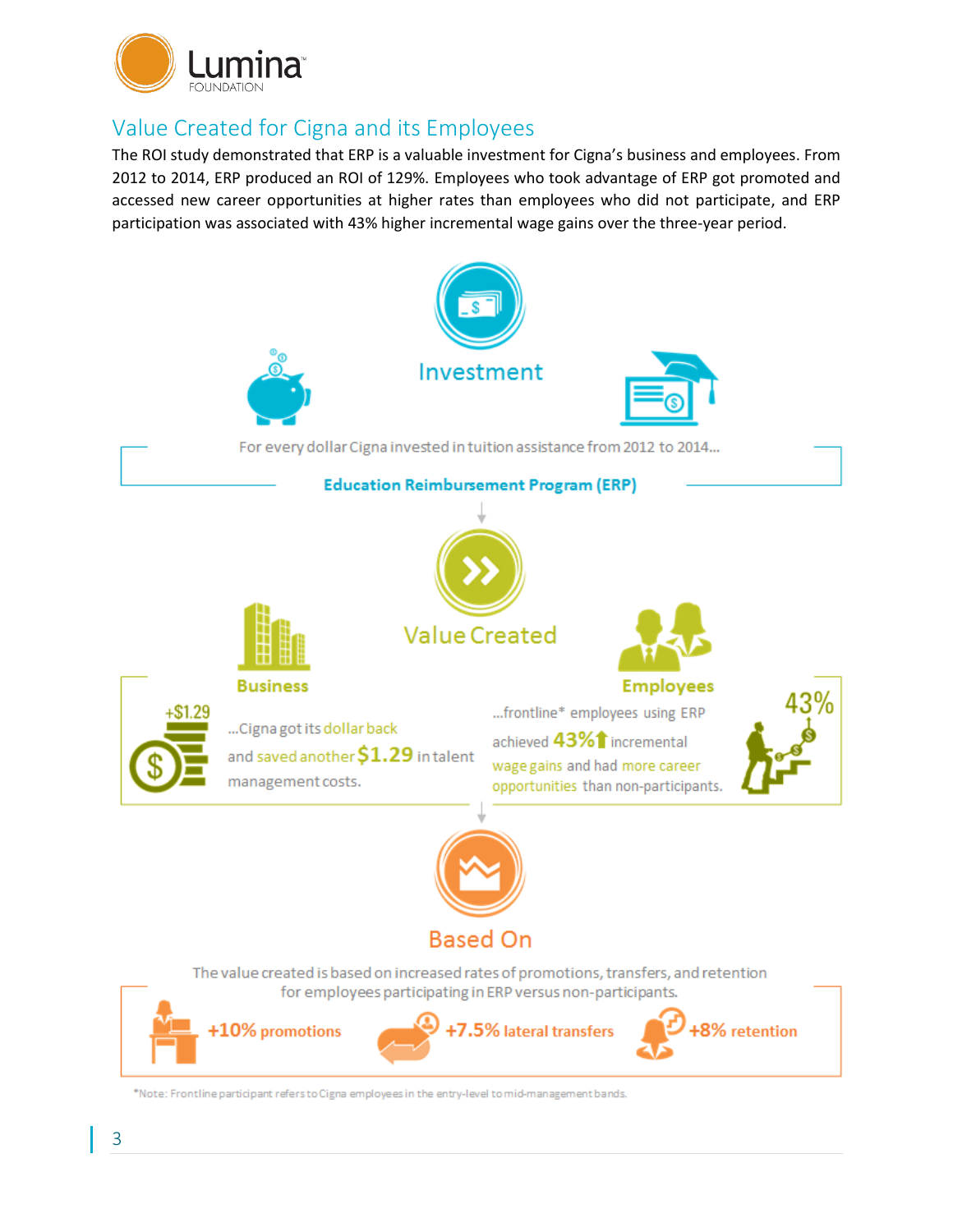

# Value Created for Cigna and its Employees

The ROI study demonstrated that ERP is a valuable investment for Cigna's business and employees. From 2012 to 2014, ERP produced an ROI of 129%. Employees who took advantage of ERP got promoted and accessed new career opportunities at higher rates than employees who did not participate, and ERP participation was associated with 43% higher incremental wage gains over the three-year period.

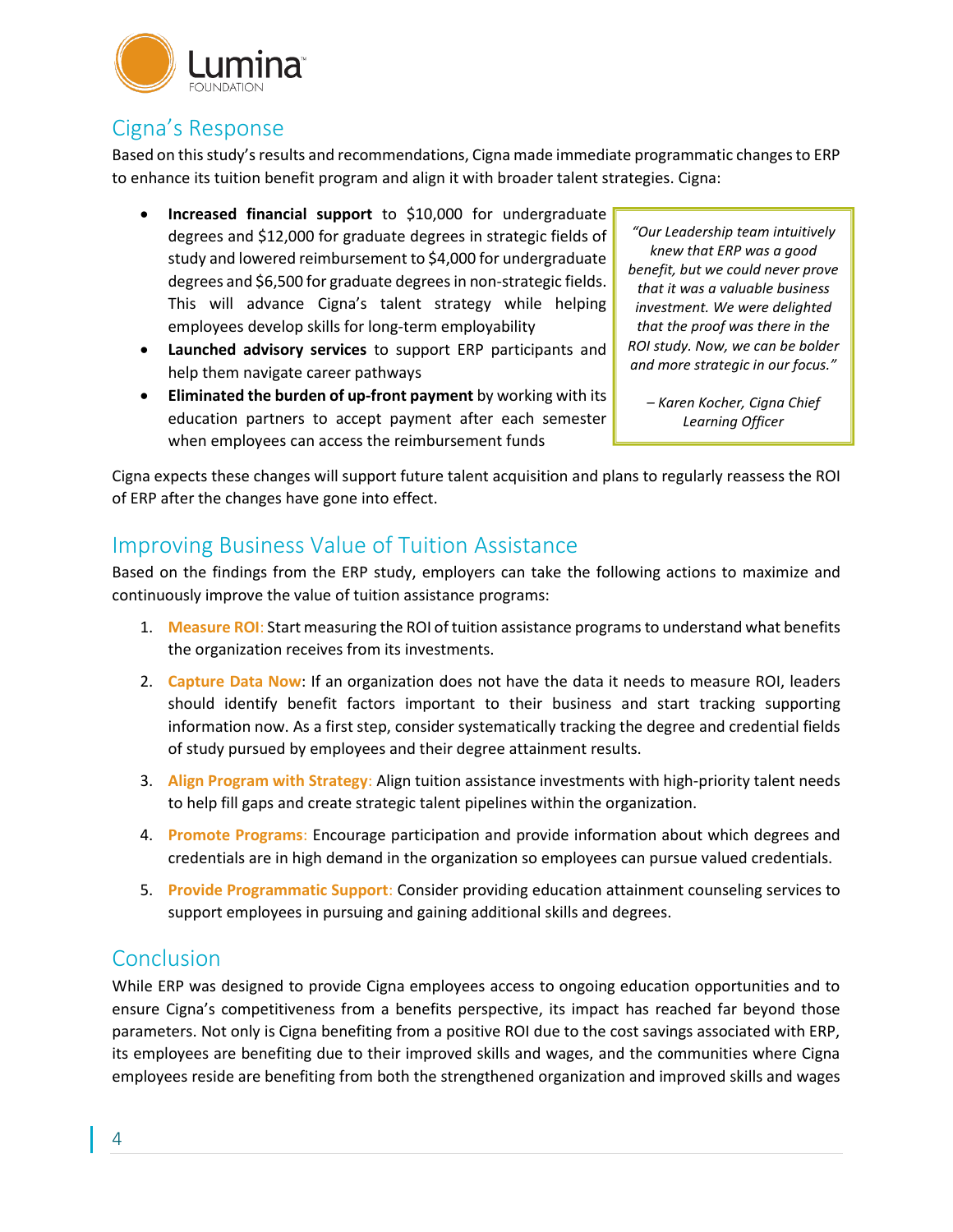

# Cigna's Response

Based on this study's results and recommendations, Cigna made immediate programmatic changes to ERP to enhance its tuition benefit program and align it with broader talent strategies. Cigna:

- **Increased financial support** to \$10,000 for undergraduate degrees and \$12,000 for graduate degrees in strategic fields of study and lowered reimbursement to \$4,000 for undergraduate degrees and \$6,500 for graduate degrees in non-strategic fields. This will advance Cigna's talent strategy while helping employees develop skills for long-term employability
- **Launched advisory services** to support ERP participants and help them navigate career pathways
- **Eliminated the burden of up-front payment** by working with its education partners to accept payment after each semester when employees can access the reimbursement funds

*"Our Leadership team intuitively knew that ERP was a good benefit, but we could never prove that it was a valuable business investment. We were delighted that the proof was there in the ROI study. Now, we can be bolder and more strategic in our focus."*

*– Karen Kocher, Cigna Chief Learning Officer*

Cigna expects these changes will support future talent acquisition and plans to regularly reassess the ROI of ERP after the changes have gone into effect.

## Improving Business Value of Tuition Assistance

Based on the findings from the ERP study, employers can take the following actions to maximize and continuously improve the value of tuition assistance programs:

- 1. **Measure ROI**: Start measuring the ROI of tuition assistance programs to understand what benefits the organization receives from its investments.
- 2. **Capture Data Now**: If an organization does not have the data it needs to measure ROI, leaders should identify benefit factors important to their business and start tracking supporting information now. As a first step, consider systematically tracking the degree and credential fields of study pursued by employees and their degree attainment results.
- 3. **Align Program with Strategy**: Align tuition assistance investments with high-priority talent needs to help fill gaps and create strategic talent pipelines within the organization.
- 4. **Promote Programs**: Encourage participation and provide information about which degrees and credentials are in high demand in the organization so employees can pursue valued credentials.
- 5. **Provide Programmatic Support**: Consider providing education attainment counseling services to support employees in pursuing and gaining additional skills and degrees.

#### Conclusion

While ERP was designed to provide Cigna employees access to ongoing education opportunities and to ensure Cigna's competitiveness from a benefits perspective, its impact has reached far beyond those parameters. Not only is Cigna benefiting from a positive ROI due to the cost savings associated with ERP, its employees are benefiting due to their improved skills and wages, and the communities where Cigna employees reside are benefiting from both the strengthened organization and improved skills and wages